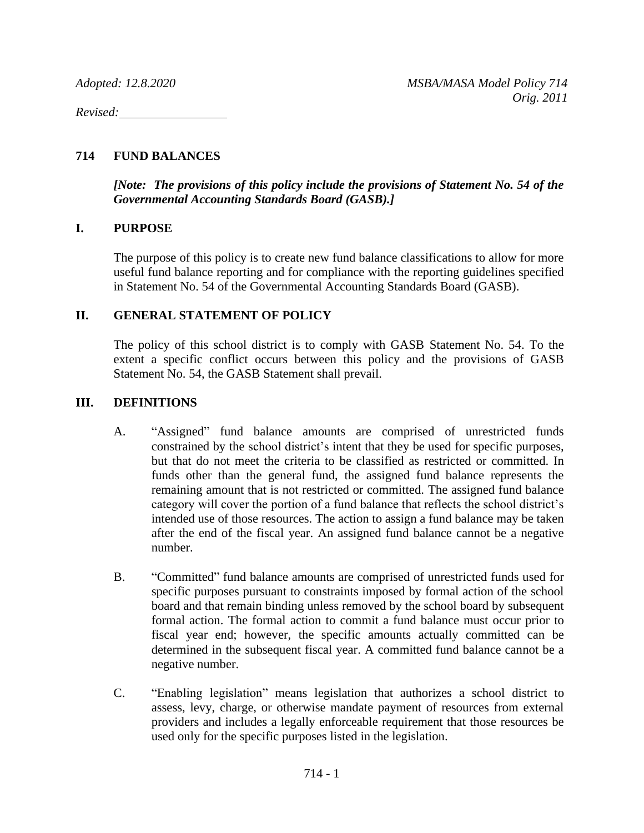*Revised:*

## **714 FUND BALANCES**

*[Note: The provisions of this policy include the provisions of Statement No. 54 of the Governmental Accounting Standards Board (GASB).]*

## **I. PURPOSE**

The purpose of this policy is to create new fund balance classifications to allow for more useful fund balance reporting and for compliance with the reporting guidelines specified in Statement No. 54 of the Governmental Accounting Standards Board (GASB).

## **II. GENERAL STATEMENT OF POLICY**

The policy of this school district is to comply with GASB Statement No. 54. To the extent a specific conflict occurs between this policy and the provisions of GASB Statement No. 54, the GASB Statement shall prevail.

### **III. DEFINITIONS**

- A. "Assigned" fund balance amounts are comprised of unrestricted funds constrained by the school district's intent that they be used for specific purposes, but that do not meet the criteria to be classified as restricted or committed. In funds other than the general fund, the assigned fund balance represents the remaining amount that is not restricted or committed. The assigned fund balance category will cover the portion of a fund balance that reflects the school district's intended use of those resources. The action to assign a fund balance may be taken after the end of the fiscal year. An assigned fund balance cannot be a negative number.
- B. "Committed" fund balance amounts are comprised of unrestricted funds used for specific purposes pursuant to constraints imposed by formal action of the school board and that remain binding unless removed by the school board by subsequent formal action. The formal action to commit a fund balance must occur prior to fiscal year end; however, the specific amounts actually committed can be determined in the subsequent fiscal year. A committed fund balance cannot be a negative number.
- C. "Enabling legislation" means legislation that authorizes a school district to assess, levy, charge, or otherwise mandate payment of resources from external providers and includes a legally enforceable requirement that those resources be used only for the specific purposes listed in the legislation.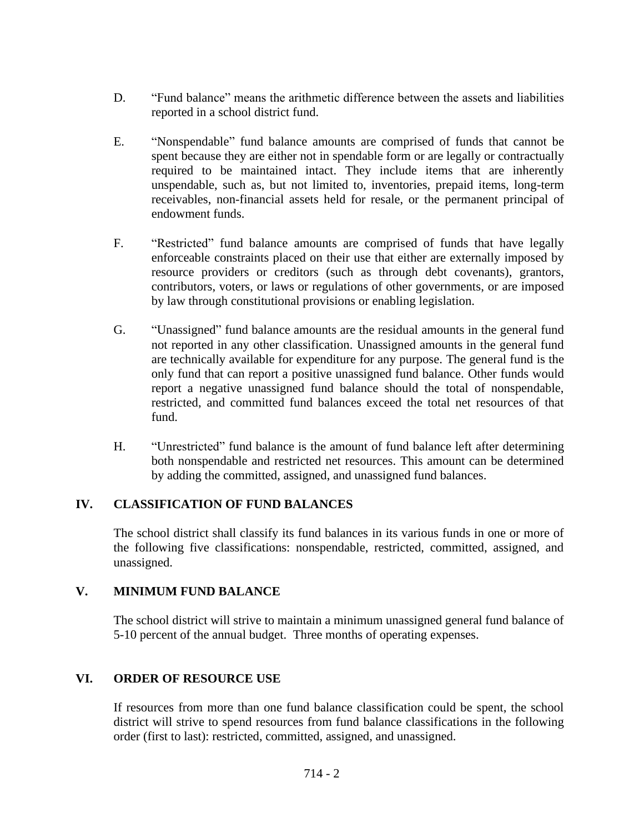- D. "Fund balance" means the arithmetic difference between the assets and liabilities reported in a school district fund.
- E. "Nonspendable" fund balance amounts are comprised of funds that cannot be spent because they are either not in spendable form or are legally or contractually required to be maintained intact. They include items that are inherently unspendable, such as, but not limited to, inventories, prepaid items, long-term receivables, non-financial assets held for resale, or the permanent principal of endowment funds.
- F. "Restricted" fund balance amounts are comprised of funds that have legally enforceable constraints placed on their use that either are externally imposed by resource providers or creditors (such as through debt covenants), grantors, contributors, voters, or laws or regulations of other governments, or are imposed by law through constitutional provisions or enabling legislation.
- G. "Unassigned" fund balance amounts are the residual amounts in the general fund not reported in any other classification. Unassigned amounts in the general fund are technically available for expenditure for any purpose. The general fund is the only fund that can report a positive unassigned fund balance. Other funds would report a negative unassigned fund balance should the total of nonspendable, restricted, and committed fund balances exceed the total net resources of that fund.
- H. "Unrestricted" fund balance is the amount of fund balance left after determining both nonspendable and restricted net resources. This amount can be determined by adding the committed, assigned, and unassigned fund balances.

## **IV. CLASSIFICATION OF FUND BALANCES**

The school district shall classify its fund balances in its various funds in one or more of the following five classifications: nonspendable, restricted, committed, assigned, and unassigned.

## **V. MINIMUM FUND BALANCE**

The school district will strive to maintain a minimum unassigned general fund balance of 5-10 percent of the annual budget. Three months of operating expenses.

# **VI. ORDER OF RESOURCE USE**

If resources from more than one fund balance classification could be spent, the school district will strive to spend resources from fund balance classifications in the following order (first to last): restricted, committed, assigned, and unassigned.